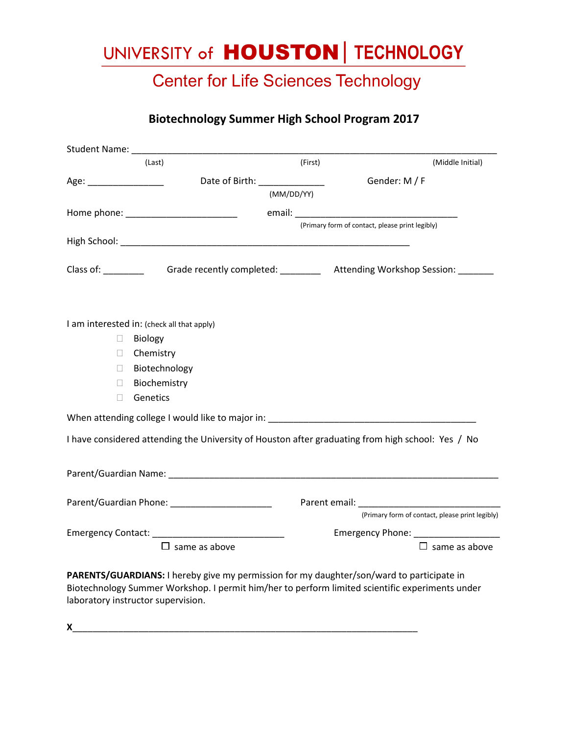# UNIVERSITY of **HOUSTON** | TECHNOLOGY

### **Center for Life Sciences Technology**

#### **Biotechnology Summer High School Program 2017**

| Student Name: _______   |                                                              |                              |                                                                                                                |
|-------------------------|--------------------------------------------------------------|------------------------------|----------------------------------------------------------------------------------------------------------------|
|                         | (Last)                                                       | (First)                      | (Middle Initial)                                                                                               |
| Age: __________________ |                                                              | Date of Birth: _____________ | Gender: M / F                                                                                                  |
|                         |                                                              | (MM/DD/YY)                   |                                                                                                                |
|                         |                                                              |                              |                                                                                                                |
|                         |                                                              |                              | (Primary form of contact, please print legibly)                                                                |
|                         |                                                              |                              |                                                                                                                |
|                         |                                                              |                              | Class of: Grade recently completed: __________ Attending Workshop Session: ______                              |
| $\mathbf{L}$            | I am interested in: (check all that apply)<br><b>Biology</b> |                              |                                                                                                                |
| П                       | Chemistry                                                    |                              |                                                                                                                |
| П                       | Biotechnology                                                |                              |                                                                                                                |
| П                       | Biochemistry                                                 |                              |                                                                                                                |
| П                       | Genetics                                                     |                              |                                                                                                                |
|                         |                                                              |                              |                                                                                                                |
|                         |                                                              |                              |                                                                                                                |
|                         |                                                              |                              | I have considered attending the University of Houston after graduating from high school: Yes / No              |
|                         |                                                              |                              |                                                                                                                |
|                         |                                                              |                              |                                                                                                                |
|                         | Parent/Guardian Phone: ______________________                |                              | Parent email: Note and the series of the series of the series of the series of the series of the series of the |
|                         |                                                              |                              | (Primary form of contact, please print legibly)                                                                |
|                         |                                                              |                              |                                                                                                                |
|                         | $\Box$ same as above                                         |                              | $\Box$ same as above                                                                                           |
|                         |                                                              |                              | PARENTS/GUARDIANS: I hereby give my permission for my daughter/son/ward to participate in                      |

Biotechnology Summer Workshop. I permit him/her to perform limited scientific experiments under laboratory instructor supervision.

**X**\_\_\_\_\_\_\_\_\_\_\_\_\_\_\_\_\_\_\_\_\_\_\_\_\_\_\_\_\_\_\_\_\_\_\_\_\_\_\_\_\_\_\_\_\_\_\_\_\_\_\_\_\_\_\_\_\_\_\_\_\_\_\_\_\_\_\_\_